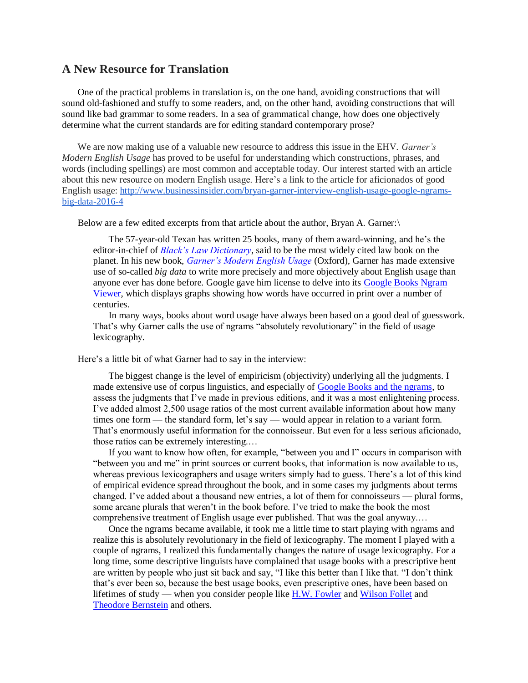## **A New Resource for Translation**

One of the practical problems in translation is, on the one hand, avoiding constructions that will sound old-fashioned and stuffy to some readers, and, on the other hand, avoiding constructions that will sound like bad grammar to some readers. In a sea of grammatical change, how does one objectively determine what the current standards are for editing standard contemporary prose?

We are now making use of a valuable new resource to address this issue in the EHV. *Garner's Modern English Usage* has proved to be useful for understanding which constructions, phrases, and words (including spellings) are most common and acceptable today. Our interest started with an article about this new resource on modern English usage. Here's a link to the article for aficionados of good English usage: [http://www.businessinsider.com/bryan-garner-interview-english-usage-google-ngrams](http://www.businessinsider.com/bryan-garner-interview-english-usage-google-ngrams-big-data-2016-4)[big-data-2016-4](http://www.businessinsider.com/bryan-garner-interview-english-usage-google-ngrams-big-data-2016-4)

Below are a few edited excerpts from that article about the author, Bryan A. Garner:\

The 57-year-old Texan has written 25 books, many of them award-winning, and he's the editor-in-chief of *[Black's Law Dictionary](http://www.amazon.com/Blacks-Dictionary-10th-Bryan-Garner/dp/0314613005/ref=sr_1_7?s=books&ie=UTF8&qid=1459884175&sr=1-7&tag=bisafetynet-20)*, said to be the most widely cited law book on the planet. In his new book, *[Garner's Modern English Usage](http://www.amazon.com/Garners-Modern-English-Usage-Garner/dp/0190491485/ref=pd_rhf_ee_p_img_12?ie=UTF8&refRID=1HKGNDTW9168WXCP4VN2&tag=bisafetynet-20)* (Oxford), Garner has made extensive use of so-called *big data* to write more precisely and more objectively about English usage than anyone ever has done before. Google gave him license to delve into its [Google Books Ngram](https://books.google.com/ngrams)  [Viewer,](https://books.google.com/ngrams) which displays graphs showing how words have occurred in print over a number of centuries.

In many ways, books about word usage have always been based on a good deal of guesswork. That's why Garner calls the use of ngrams "absolutely revolutionary" in the field of usage lexicography.

Here's a little bit of what Garner had to say in the interview:

The biggest change is the level of empiricism (objectivity) underlying all the judgments. I made extensive use of corpus linguistics, and especially of [Google Books and the ngrams,](https://books.google.com/ngrams) to assess the judgments that I've made in previous editions, and it was a most enlightening process. I've added almost 2,500 usage ratios of the most current available information about how many times one form — the standard form, let's say — would appear in relation to a variant form. That's enormously useful information for the connoisseur. But even for a less serious aficionado, those ratios can be extremely interesting.…

If you want to know how often, for example, "between you and I" occurs in comparison with "between you and me" in print sources or current books, [that information is now available](https://books.google.com/ngrams/graph?content=between+you+and+I%2Cbetween+you+and+me&year_start=1700&year_end=2008&corpus=15&smoothing=3&share=&direct_url=t1%3B%2Cbetween%20you%20and%20I%3B%2Cc0%3B.t1%3B%2Cbetween%20you%20and%20me%3B%2Cc0) to us, whereas previous lexicographers and usage writers simply had to guess. There's a lot of this kind of empirical evidence spread throughout the book, and in some cases my judgments about terms changed. I've added about a thousand new entries, a lot of them for connoisseurs — plural forms, some arcane plurals that weren't in the book before. I've tried to make the book the most comprehensive treatment of English usage ever published. That was the goal anyway.…

Once the ngrams became available, it took me a little time to start playing with ngrams and realize this is absolutely revolutionary in the field of lexicography. The moment I played with a couple of ngrams, I realized this fundamentally changes the nature of usage lexicography. For a long time, some descriptive linguists have complained that usage books with a prescriptive bent are written by people who just sit back and say, "I like this better than I like that. "I don't think that's ever been so, because the best usage books, even prescriptive ones, have been based on lifetimes of study — when you consider people like [H.W. Fowler](https://en.wikipedia.org/wiki/Henry_Watson_Fowler) and [Wilson Follet](https://en.wikipedia.org/wiki/Wilson_Follett) and [Theodore Bernstein](https://en.wikipedia.org/wiki/Theodore_Menline_Bernstein) and others.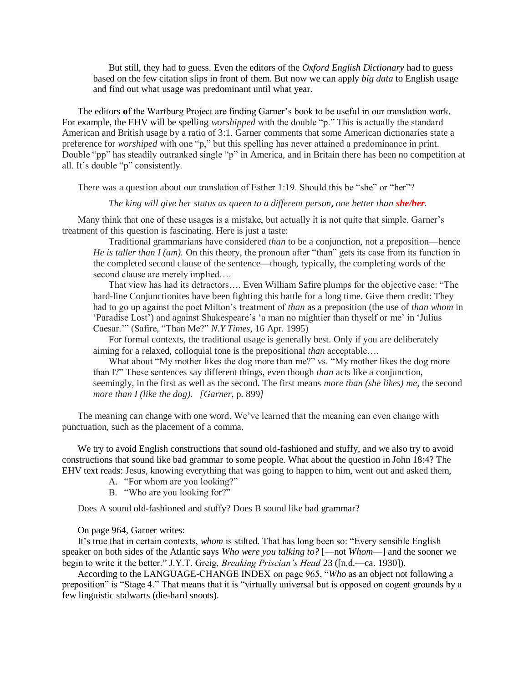But still, they had to guess. Even the editors of the *Oxford English Dictionary* had to guess based on the few citation slips in front of them. But now we can apply *big data* to English usage and find out what usage was predominant until what year.

The editors **o**f the Wartburg Project are finding Garner's book to be useful in our translation work. For example, the EHV will be spelling *worshipped* with the double "p." This is actually the standard American and British usage by a ratio of 3:1. Garner comments that some American dictionaries state a preference for *worshiped* with one "p," but this spelling has never attained a predominance in print. Double "pp" has steadily outranked single "p" in America, and in Britain there has been no competition at all. It's double "p" consistently.

There was a question about our translation of Esther 1:19. Should this be "she" or "her"?

*The king will give her status as queen to a different person, one better than <i>she/her*.

Many think that one of these usages is a mistake, but actually it is not quite that simple. Garner's treatment of this question is fascinating. Here is just a taste:

Traditional grammarians have considered *than* to be a conjunction, not a preposition—hence *He is taller than I (am).* On this theory, the pronoun after "than" gets its case from its function in the completed second clause of the sentence—though, typically, the completing words of the second clause are merely implied....

That view has had its detractors…. Even William Safire plumps for the objective case: "The hard-line Conjunctionites have been fighting this battle for a long time. Give them credit: They had to go up against the poet Milton's treatment of *than* as a preposition (the use of *than whom* in 'Paradise Lost') and against Shakespeare's 'a man no mightier than thyself or me' in 'Julius Caesar.'" (Safire, "Than Me?" *N.Y Times,* 16 Apr. 1995)

For formal contexts, the traditional usage is generally best. Only if you are deliberately aiming for a relaxed, colloquial tone is the prepositional *than* acceptable….

What about "My mother likes the dog more than me?" vs. "My mother likes the dog more than I?" These sentences say different things, even though *than* acts like a conjunction, seemingly, in the first as well as the second. The first means *more than (she likes) me,* the second *more than I (like the dog). [Garner,* p. 899*]*

The meaning can change with one word. We've learned that the meaning can even change with punctuation, such as the placement of a comma.

We try to avoid English constructions that sound old-fashioned and stuffy, and we also try to avoid constructions that sound like bad grammar to some people. What about the question in John 18:4? The EHV text reads: Jesus, knowing everything that was going to happen to him, went out and asked them,

- A. "For whom are you looking?"
- B. "Who are you looking for?"

Does A sound old-fashioned and stuffy? Does B sound like bad grammar?

On page 964, Garner writes:

It's true that in certain contexts, *whom* is stilted. That has long been so: "Every sensible English speaker on both sides of the Atlantic says *Who were you talking to?* [—not *Whom*—] and the sooner we begin to write it the better." J.Y.T. Greig, *Breaking Priscian's Head* 23 ([n.d.—ca. 1930]).

According to the LANGUAGE-CHANGE INDEX on page 965, "*Who* as an object not following a preposition" is "Stage 4." That means that it is "virtually universal but is opposed on cogent grounds by a few linguistic stalwarts (die-hard snoots).